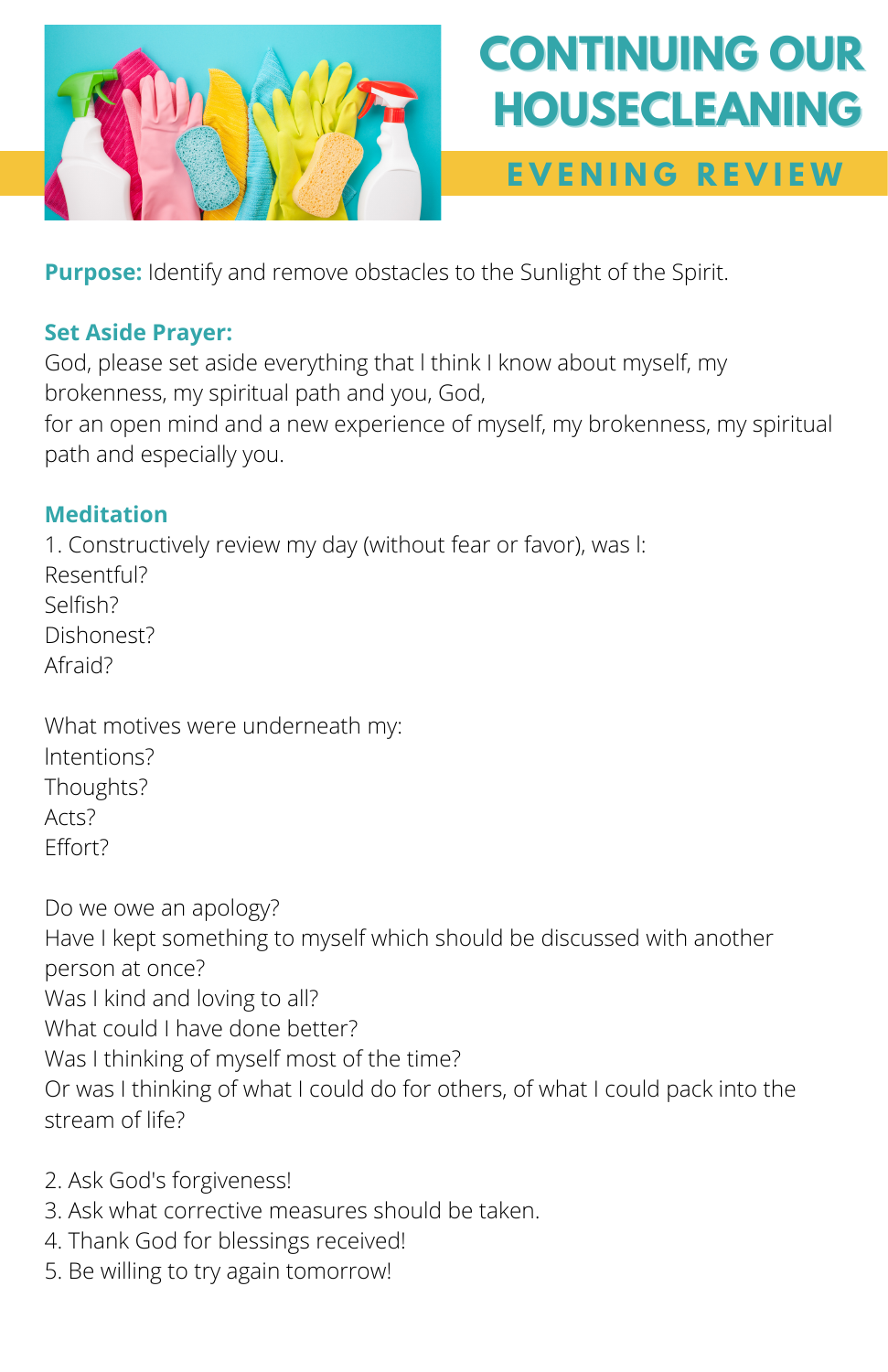

# **CONTINUING OUR HOUSECLEANING**

### **E V E N I N G R E V I E W**

**Purpose:** Identify and remove obstacles to the Sunlight of the Spirit.

### **Set Aside Prayer:**

God, please set aside everything that l think I know about myself, my brokenness, my spiritual path and you, God,

for an open mind and a new experience of myself, my brokenness, my spiritual path and especially you.

### **Meditation**

1. Constructively review my day (without fear or favor), was l: Resentful? Selfish? Dishonest? Afraid?

What motives were underneath my: lntentions? Thoughts? Arts? Effort?

Do we owe an apology? Have I kept something to myself which should be discussed with another person at once? Was I kind and loving to all? What could I have done better? Was I thinking of myself most of the time? Or was I thinking of what I could do for others, of what I could pack into the stream of life?

- 2. Ask God's forgiveness!
- 3. Ask what corrective measures should be taken.
- 4. Thank God for blessings received!
- 5. Be willing to try again tomorrow!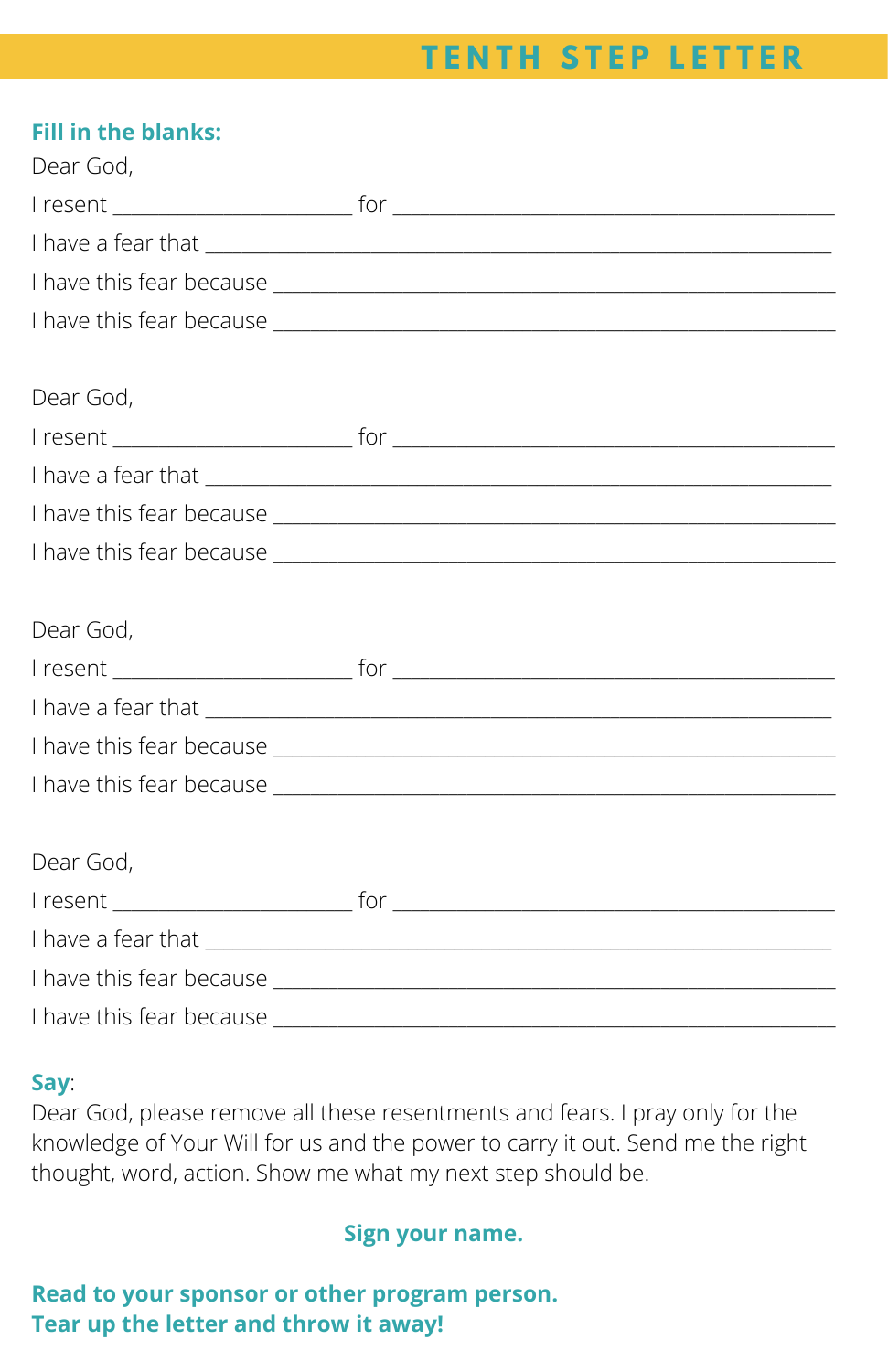## **T E N T H S T E P L E T T E R**

| <b>Fill in the blanks:</b><br>Dear God, |                                                                                                                                                                                                                                      |
|-----------------------------------------|--------------------------------------------------------------------------------------------------------------------------------------------------------------------------------------------------------------------------------------|
|                                         |                                                                                                                                                                                                                                      |
|                                         |                                                                                                                                                                                                                                      |
|                                         |                                                                                                                                                                                                                                      |
|                                         |                                                                                                                                                                                                                                      |
|                                         |                                                                                                                                                                                                                                      |
| Dear God,                               |                                                                                                                                                                                                                                      |
|                                         |                                                                                                                                                                                                                                      |
|                                         |                                                                                                                                                                                                                                      |
|                                         |                                                                                                                                                                                                                                      |
|                                         |                                                                                                                                                                                                                                      |
|                                         |                                                                                                                                                                                                                                      |
| Dear God,                               |                                                                                                                                                                                                                                      |
|                                         |                                                                                                                                                                                                                                      |
|                                         |                                                                                                                                                                                                                                      |
|                                         |                                                                                                                                                                                                                                      |
|                                         |                                                                                                                                                                                                                                      |
|                                         |                                                                                                                                                                                                                                      |
| Dear God,                               |                                                                                                                                                                                                                                      |
|                                         |                                                                                                                                                                                                                                      |
|                                         |                                                                                                                                                                                                                                      |
|                                         |                                                                                                                                                                                                                                      |
|                                         | I have this fear because <u>Internal and the series of the series of the series of the series of the series of the series of the series of the series of the series of the series of the series of the series of the series of t</u> |

#### **Say**:

Dear God, please remove all these resentments and fears. I pray only for the knowledge of Your Will for us and the power to carry it out. Send me the right thought, word, action. Show me what my next step should be.

### **Sign your name.**

### **Read to your sponsor or other program person. Tear up the letter and throw it away!**